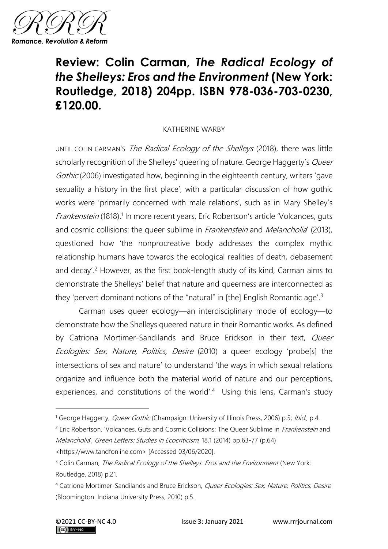

## **Review: Colin Carman,** *The Radical Ecology of the Shelleys: Eros and the Environment* **(New York: Routledge, 2018) 204pp. ISBN 978-036-703-0230, £120.00.**

## KATHERINE WARBY

UNTIL COLIN CARMAN's The Radical Ecology of the Shelleys (2018), there was little scholarly recognition of the Shelleys' queering of nature. George Haggerty's Queer Gothic (2006) investigated how, beginning in the eighteenth century, writers 'gave sexuality a history in the first place', with a particular discussion of how gothic works were 'primarily concerned with male relations', such as in Mary Shelley's Frankenstein (1818).<sup>1</sup> In more recent years, Eric Robertson's article 'Volcanoes, guts and cosmic collisions: the queer sublime in *Frankenstein* and *Melancholia'* (2013), questioned how 'the nonprocreative body addresses the complex mythic relationship humans have towards the ecological realities of death, debasement and decay'.<sup>2</sup> However, as the first book-length study of its kind, Carman aims to demonstrate the Shelleys' belief that nature and queerness are interconnected as they 'pervert dominant notions of the "natural" in [the] English Romantic age'.<sup>3</sup>

Carman uses queer ecology—an interdisciplinary mode of ecology—to demonstrate how the Shelleys queered nature in their Romantic works. As defined by Catriona Mortimer-Sandilands and Bruce Erickson in their text, *Queer* Ecologies: Sex, Nature, Politics, Desire (2010) a queer ecology 'probe[s] the intersections of sex and nature' to understand 'the ways in which sexual relations organize and influence both the material world of nature and our perceptions, experiences, and constitutions of the world'.<sup>4</sup> Using this lens, Carman's study

<sup>&</sup>lt;sup>1</sup> George Haggerty, *Queer Gothic* (Champaign: University of Illinois Press, 2006) p.5; Ibid., p.4.

<sup>&</sup>lt;sup>2</sup> Eric Robertson, 'Volcanoes, Guts and Cosmic Collisions: The Queer Sublime in *Frankenstein* and Melancholia', Green Letters: Studies in Ecocriticism, 18.1 (2014) pp.63-77 (p.64) <https://www.tandfonline.com> [Accessed 03/06/2020].

<sup>&</sup>lt;sup>3</sup> Colin Carman, *The Radical Ecology of the Shelleys: Eros and the Environment* (New York: Routledge, 2018) p.21.

<sup>&</sup>lt;sup>4</sup> Catriona Mortimer-Sandilands and Bruce Erickson, *Queer Ecologies: Sex, Nature, Politics, Desire* (Bloomington: Indiana University Press, 2010) p.5.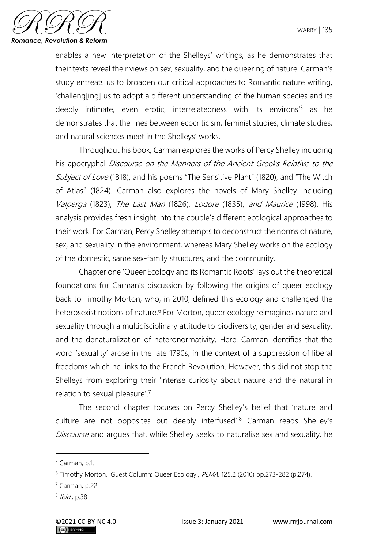

enables a new interpretation of the Shelleys' writings, as he demonstrates that their texts reveal their views on sex, sexuality, and the queering of nature. Carman's study entreats us to broaden our critical approaches to Romantic nature writing, 'challeng[ing] us to adopt a different understanding of the human species and its deeply intimate, even erotic, interrelatedness with its environs<sup>'5</sup> as he demonstrates that the lines between ecocriticism, feminist studies, climate studies, and natural sciences meet in the Shelleys' works.

Throughout his book, Carman explores the works of Percy Shelley including his apocryphal Discourse on the Manners of the Ancient Greeks Relative to the Subject of Love (1818), and his poems "The Sensitive Plant" (1820), and "The Witch of Atlas" (1824). Carman also explores the novels of Mary Shelley including Valperga (1823), The Last Man (1826), Lodore (1835), and Maurice (1998). His analysis provides fresh insight into the couple's different ecological approaches to their work. For Carman, Percy Shelley attempts to deconstruct the norms of nature, sex, and sexuality in the environment, whereas Mary Shelley works on the ecology of the domestic, same sex-family structures, and the community.

Chapter one 'Queer Ecology and its Romantic Roots' lays out the theoretical foundations for Carman's discussion by following the origins of queer ecology back to Timothy Morton, who, in 2010, defined this ecology and challenged the heterosexist notions of nature.<sup>6</sup> For Morton, queer ecology reimagines nature and sexuality through a multidisciplinary attitude to biodiversity, gender and sexuality, and the denaturalization of heteronormativity. Here, Carman identifies that the word 'sexuality' arose in the late 1790s, in the context of a suppression of liberal freedoms which he links to the French Revolution. However, this did not stop the Shelleys from exploring their 'intense curiosity about nature and the natural in relation to sexual pleasure'.<sup>7</sup>

The second chapter focuses on Percy Shelley's belief that 'nature and culture are not opposites but deeply interfused'.<sup>8</sup> Carman reads Shelley's Discourse and argues that, while Shelley seeks to naturalise sex and sexuality, he

 $<sup>5</sup>$  Carman, p.1.</sup>

<sup>&</sup>lt;sup>6</sup> Timothy Morton, 'Guest Column: Queer Ecology', PLMA, 125.2 (2010) pp.273-282 (p.274).

<sup>7</sup> Carman, p.22.

<sup>&</sup>lt;sup>8</sup> Ibid., p.38.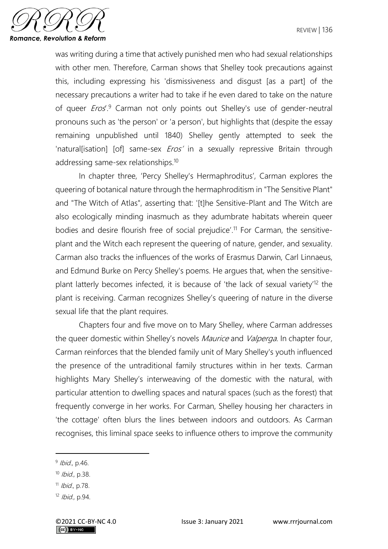

was writing during a time that actively punished men who had sexual relationships with other men. Therefore, Carman shows that Shelley took precautions against this, including expressing his 'dismissiveness and disgust [as a part] of the necessary precautions a writer had to take if he even dared to take on the nature of queer *Eros*<sup>9</sup> Carman not only points out Shelley's use of gender-neutral pronouns such as 'the person' or 'a person', but highlights that (despite the essay remaining unpublished until 1840) Shelley gently attempted to seek the 'natural[isation] [of] same-sex *Eros'* in a sexually repressive Britain through addressing same-sex relationships.<sup>10</sup>

In chapter three, 'Percy Shelley's Hermaphroditus', Carman explores the queering of botanical nature through the hermaphroditism in "The Sensitive Plant" and "The Witch of Atlas", asserting that: '[t]he Sensitive-Plant and The Witch are also ecologically minding inasmuch as they adumbrate habitats wherein queer bodies and desire flourish free of social prejudice'.<sup>11</sup> For Carman, the sensitiveplant and the Witch each represent the queering of nature, gender, and sexuality. Carman also tracks the influences of the works of Erasmus Darwin, Carl Linnaeus, and Edmund Burke on Percy Shelley's poems. He argues that, when the sensitiveplant latterly becomes infected, it is because of 'the lack of sexual variety'<sup>12</sup> the plant is receiving. Carman recognizes Shelley's queering of nature in the diverse sexual life that the plant requires.

Chapters four and five move on to Mary Shelley, where Carman addresses the queer domestic within Shelley's novels *Maurice* and *Valperga*. In chapter four, Carman reinforces that the blended family unit of Mary Shelley's youth influenced the presence of the untraditional family structures within in her texts. Carman highlights Mary Shelley's interweaving of the domestic with the natural, with particular attention to dwelling spaces and natural spaces (such as the forest) that frequently converge in her works. For Carman, Shelley housing her characters in 'the cottage' often blurs the lines between indoors and outdoors. As Carman recognises, this liminal space seeks to influence others to improve the community

<sup>&</sup>lt;sup>9</sup> Ibid., p.46.

<sup>10</sup> *Ibid.*, p.38.

<sup>11</sup> *Ibid.*, p.78.

<sup>12</sup> Ibid., p.94.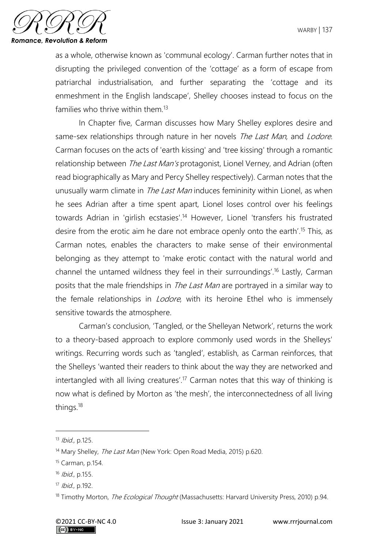

as a whole, otherwise known as 'communal ecology'. Carman further notes that in disrupting the privileged convention of the 'cottage' as a form of escape from patriarchal industrialisation, and further separating the 'cottage and its enmeshment in the English landscape', Shelley chooses instead to focus on the families who thrive within them.<sup>13</sup>

In Chapter five, Carman discusses how Mary Shelley explores desire and same-sex relationships through nature in her novels The Last Man, and Lodore. Carman focuses on the acts of 'earth kissing' and 'tree kissing' through a romantic relationship between *The Last Man's* protagonist, Lionel Verney, and Adrian (often read biographically as Mary and Percy Shelley respectively). Carman notes that the unusually warm climate in *The Last Man* induces femininity within Lionel, as when he sees Adrian after a time spent apart, Lionel loses control over his feelings towards Adrian in 'girlish ecstasies'.<sup>14</sup> However, Lionel 'transfers his frustrated desire from the erotic aim he dare not embrace openly onto the earth'.<sup>15</sup> This, as Carman notes, enables the characters to make sense of their environmental belonging as they attempt to 'make erotic contact with the natural world and channel the untamed wildness they feel in their surroundings'.<sup>16</sup> Lastly, Carman posits that the male friendships in *The Last Man* are portrayed in a similar way to the female relationships in *Lodore*, with its heroine Ethel who is immensely sensitive towards the atmosphere.

Carman's conclusion, 'Tangled, or the Shelleyan Network', returns the work to a theory-based approach to explore commonly used words in the Shelleys' writings. Recurring words such as 'tangled', establish, as Carman reinforces, that the Shelleys 'wanted their readers to think about the way they are networked and intertangled with all living creatures'.<sup>17</sup> Carman notes that this way of thinking is now what is defined by Morton as 'the mesh', the interconnectedness of all living things.<sup>18</sup>

<sup>13</sup> Ibid., p.125.

<sup>&</sup>lt;sup>14</sup> Mary Shelley, *The Last Man* (New York: Open Road Media, 2015) p.620.

<sup>15</sup> Carman, p.154.

<sup>16</sup> Ibid., p.155.

<sup>17</sup> *Ibid.*, p.192.

<sup>&</sup>lt;sup>18</sup> Timothy Morton, *The Ecological Thought* (Massachusetts: Harvard University Press, 2010) p.94.